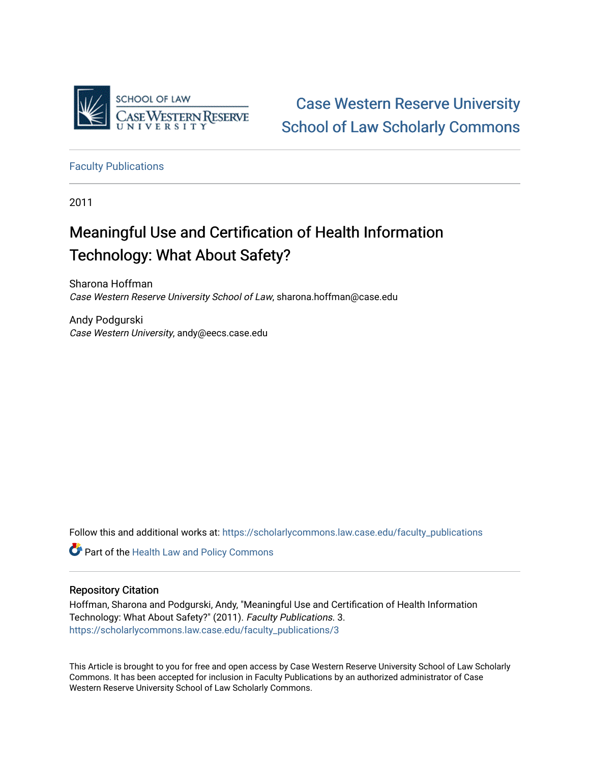

[Case Western Reserve University](https://scholarlycommons.law.case.edu/)  [School of Law Scholarly Commons](https://scholarlycommons.law.case.edu/) 

[Faculty Publications](https://scholarlycommons.law.case.edu/faculty_publications)

2011

# Meaningful Use and Certification of Health Information Technology: What About Safety?

Sharona Hoffman Case Western Reserve University School of Law, sharona.hoffman@case.edu

Andy Podgurski Case Western University, andy@eecs.case.edu

Follow this and additional works at: [https://scholarlycommons.law.case.edu/faculty\\_publications](https://scholarlycommons.law.case.edu/faculty_publications?utm_source=scholarlycommons.law.case.edu%2Ffaculty_publications%2F3&utm_medium=PDF&utm_campaign=PDFCoverPages)

Part of the [Health Law and Policy Commons](http://network.bepress.com/hgg/discipline/901?utm_source=scholarlycommons.law.case.edu%2Ffaculty_publications%2F3&utm_medium=PDF&utm_campaign=PDFCoverPages) 

# Repository Citation

Hoffman, Sharona and Podgurski, Andy, "Meaningful Use and Certification of Health Information Technology: What About Safety?" (2011). Faculty Publications. 3. [https://scholarlycommons.law.case.edu/faculty\\_publications/3](https://scholarlycommons.law.case.edu/faculty_publications/3?utm_source=scholarlycommons.law.case.edu%2Ffaculty_publications%2F3&utm_medium=PDF&utm_campaign=PDFCoverPages)

This Article is brought to you for free and open access by Case Western Reserve University School of Law Scholarly Commons. It has been accepted for inclusion in Faculty Publications by an authorized administrator of Case Western Reserve University School of Law Scholarly Commons.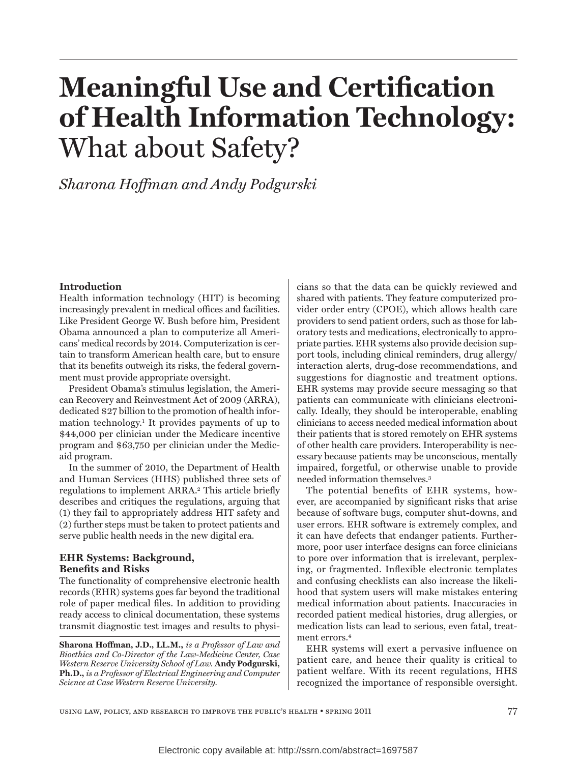# **Meaningful Use and Certification of Health Information Technology:** What about Safety?

*Sharona Hoffman and Andy Podgurski*

### **Introduction**

Health information technology (HIT) is becoming increasingly prevalent in medical offices and facilities. Like President George W. Bush before him, President Obama announced a plan to computerize all Americans' medical records by 2014. Computerization is certain to transform American health care, but to ensure that its benefits outweigh its risks, the federal government must provide appropriate oversight.

President Obama's stimulus legislation, the American Recovery and Reinvestment Act of 2009 (ARRA), dedicated \$27 billion to the promotion of health information technology.1 It provides payments of up to \$44,000 per clinician under the Medicare incentive program and \$63,750 per clinician under the Medicaid program.

In the summer of 2010, the Department of Health and Human Services (HHS) published three sets of regulations to implement ARRA.2 This article briefly describes and critiques the regulations, arguing that (1) they fail to appropriately address HIT safety and (2) further steps must be taken to protect patients and serve public health needs in the new digital era.

# **EHR Systems: Background, Benefits and Risks**

The functionality of comprehensive electronic health records (EHR) systems goes far beyond the traditional role of paper medical files. In addition to providing ready access to clinical documentation, these systems transmit diagnostic test images and results to physi-

**Sharona Hoffman, J.D., LL.M.,** *is a Professor of Law and Bioethics and Co-Director of the Law-Medicine Center, Case Western Reserve University School of Law.* **Andy Podgurski, Ph.D.,** *is a Professor of Electrical Engineering and Computer Science at Case Western Reserve University.*

cians so that the data can be quickly reviewed and shared with patients. They feature computerized provider order entry (CPOE), which allows health care providers to send patient orders, such as those for laboratory tests and medications, electronically to appropriate parties. EHR systems also provide decision support tools, including clinical reminders, drug allergy/ interaction alerts, drug-dose recommendations, and suggestions for diagnostic and treatment options. EHR systems may provide secure messaging so that patients can communicate with clinicians electronically. Ideally, they should be interoperable, enabling clinicians to access needed medical information about their patients that is stored remotely on EHR systems of other health care providers. Interoperability is necessary because patients may be unconscious, mentally impaired, forgetful, or otherwise unable to provide needed information themselves.3

The potential benefits of EHR systems, however, are accompanied by significant risks that arise because of software bugs, computer shut-downs, and user errors. EHR software is extremely complex, and it can have defects that endanger patients. Furthermore, poor user interface designs can force clinicians to pore over information that is irrelevant, perplexing, or fragmented. Inflexible electronic templates and confusing checklists can also increase the likelihood that system users will make mistakes entering medical information about patients. Inaccuracies in recorded patient medical histories, drug allergies, or medication lists can lead to serious, even fatal, treatment errors.4

EHR systems will exert a pervasive influence on patient care, and hence their quality is critical to patient welfare. With its recent regulations, HHS recognized the importance of responsible oversight.

using law, policy, and research to improve the public's health • spring 2011 77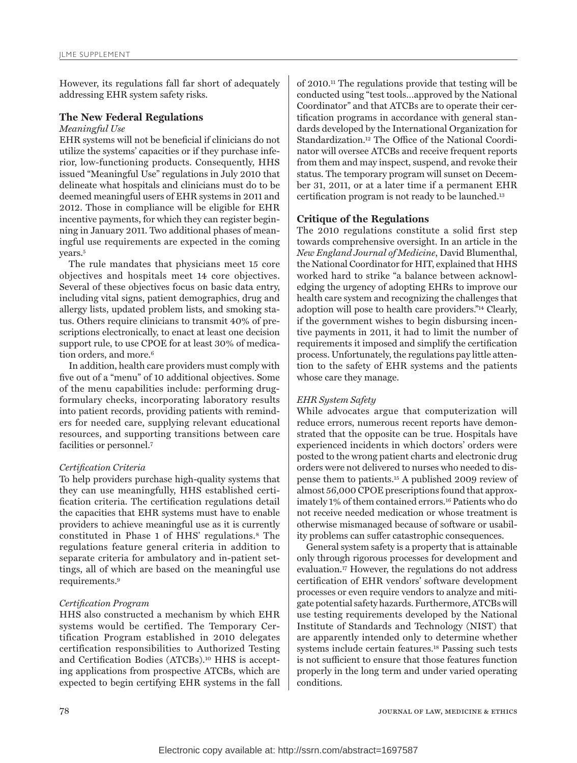However, its regulations fall far short of adequately addressing EHR system safety risks.

### **The New Federal Regulations**

#### *Meaningful Use*

EHR systems will not be beneficial if clinicians do not utilize the systems' capacities or if they purchase inferior, low-functioning products. Consequently, HHS issued "Meaningful Use" regulations in July 2010 that delineate what hospitals and clinicians must do to be deemed meaningful users of EHR systems in 2011 and 2012. Those in compliance will be eligible for EHR incentive payments, for which they can register beginning in January 2011. Two additional phases of meaningful use requirements are expected in the coming years.5

The rule mandates that physicians meet 15 core objectives and hospitals meet 14 core objectives. Several of these objectives focus on basic data entry, including vital signs, patient demographics, drug and allergy lists, updated problem lists, and smoking status. Others require clinicians to transmit 40% of prescriptions electronically, to enact at least one decision support rule, to use CPOE for at least 30% of medication orders, and more.<sup>6</sup>

In addition, health care providers must comply with five out of a "menu" of 10 additional objectives. Some of the menu capabilities include: performing drugformulary checks, incorporating laboratory results into patient records, providing patients with reminders for needed care, supplying relevant educational resources, and supporting transitions between care facilities or personnel.7

# *Certification Criteria*

To help providers purchase high-quality systems that they can use meaningfully, HHS established certification criteria. The certification regulations detail the capacities that EHR systems must have to enable providers to achieve meaningful use as it is currently constituted in Phase 1 of HHS' regulations.8 The regulations feature general criteria in addition to separate criteria for ambulatory and in-patient settings, all of which are based on the meaningful use requirements.9

# *Certification Program*

HHS also constructed a mechanism by which EHR systems would be certified. The Temporary Certification Program established in 2010 delegates certification responsibilities to Authorized Testing and Certification Bodies (ATCBs).<sup>10</sup> HHS is accepting applications from prospective ATCBs, which are expected to begin certifying EHR systems in the fall of 2010.11 The regulations provide that testing will be conducted using "test tools…approved by the National Coordinator" and that ATCBs are to operate their certification programs in accordance with general standards developed by the International Organization for Standardization.12 The Office of the National Coordinator will oversee ATCBs and receive frequent reports from them and may inspect, suspend, and revoke their status. The temporary program will sunset on December 31, 2011, or at a later time if a permanent EHR certification program is not ready to be launched.13

# **Critique of the Regulations**

The 2010 regulations constitute a solid first step towards comprehensive oversight. In an article in the *New England Journal of Medicine*, David Blumenthal, the National Coordinator for HIT, explained that HHS worked hard to strike "a balance between acknowledging the urgency of adopting EHRs to improve our health care system and recognizing the challenges that adoption will pose to health care providers."14 Clearly, if the government wishes to begin disbursing incentive payments in 2011, it had to limit the number of requirements it imposed and simplify the certification process. Unfortunately, the regulations pay little attention to the safety of EHR systems and the patients whose care they manage.

#### *EHR System Safety*

While advocates argue that computerization will reduce errors, numerous recent reports have demonstrated that the opposite can be true. Hospitals have experienced incidents in which doctors' orders were posted to the wrong patient charts and electronic drug orders were not delivered to nurses who needed to dispense them to patients.15 A published 2009 review of almost 56,000 CPOE prescriptions found that approximately 1% of them contained errors.<sup>16</sup> Patients who do not receive needed medication or whose treatment is otherwise mismanaged because of software or usability problems can suffer catastrophic consequences.

General system safety is a property that is attainable only through rigorous processes for development and evaluation.17 However, the regulations do not address certification of EHR vendors' software development processes or even require vendors to analyze and mitigate potential safety hazards. Furthermore, ATCBs will use testing requirements developed by the National Institute of Standards and Technology (NIST) that are apparently intended only to determine whether systems include certain features.18 Passing such tests is not sufficient to ensure that those features function properly in the long term and under varied operating conditions.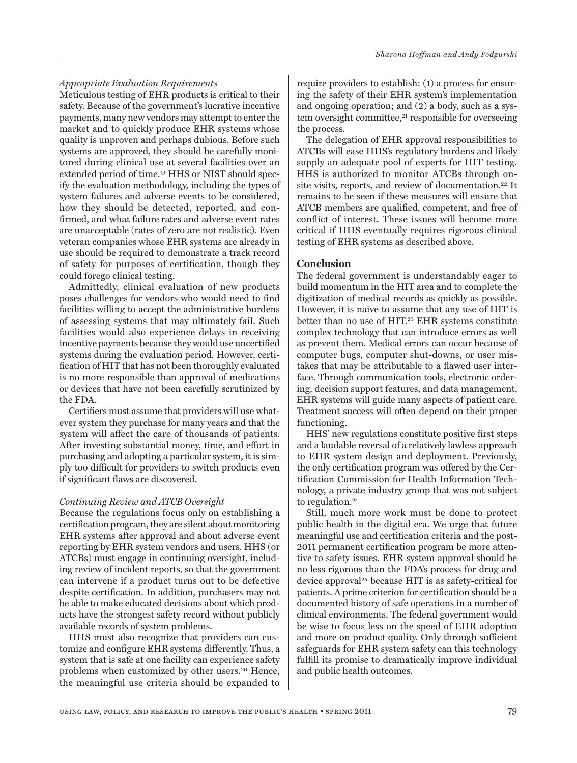#### *Appropriate Evaluation Requirements*

Meticulous testing of EHR products is critical to their safety. Because of the government's lucrative incentive payments, many new vendors may attempt to enter the market and to quickly produce EHR systems whose quality is unproven and perhaps dubious. Before such systems are approved, they should be carefully monitored during clinical use at several facilities over an extended period of time.19 HHS or NIST should specify the evaluation methodology, including the types of system failures and adverse events to be considered, how they should be detected, reported, and confirmed, and what failure rates and adverse event rates are unacceptable (rates of zero are not realistic). Even veteran companies whose EHR systems are already in use should be required to demonstrate a track record of safety for purposes of certification, though they could forego clinical testing.

Admittedly, clinical evaluation of new products poses challenges for vendors who would need to find facilities willing to accept the administrative burdens of assessing systems that may ultimately fail. Such facilities would also experience delays in receiving incentive payments because they would use uncertified systems during the evaluation period. However, certification of HIT that has not been thoroughly evaluated is no more responsible than approval of medications or devices that have not been carefully scrutinized by the FDA.

Certifiers must assume that providers will use whatever system they purchase for many years and that the system will affect the care of thousands of patients. After investing substantial money, time, and effort in purchasing and adopting a particular system, it is simply too difficult for providers to switch products even if significant flaws are discovered.

#### *Continuing Review and ATCB Oversight*

Because the regulations focus only on establishing a certification program, they are silent about monitoring EHR systems after approval and about adverse event reporting by EHR system vendors and users. HHS (or ATCBs) must engage in continuing oversight, including review of incident reports, so that the government can intervene if a product turns out to be defective despite certification. In addition, purchasers may not be able to make educated decisions about which products have the strongest safety record without publicly available records of system problems.

HHS must also recognize that providers can customize and configure EHR systems differently. Thus, a system that is safe at one facility can experience safety problems when customized by other users.20 Hence, the meaningful use criteria should be expanded to require providers to establish: (1) a process for ensuring the safety of their EHR system's implementation and ongoing operation; and (2) a body, such as a system oversight committee,<sup>21</sup> responsible for overseeing the process.

The delegation of EHR approval responsibilities to ATCBs will ease HHS's regulatory burdens and likely supply an adequate pool of experts for HIT testing. HHS is authorized to monitor ATCBs through onsite visits, reports, and review of documentation.<sup>22</sup> It remains to be seen if these measures will ensure that ATCB members are qualified, competent, and free of conflict of interest. These issues will become more critical if HHS eventually requires rigorous clinical testing of EHR systems as described above.

#### **Conclusion**

The federal government is understandably eager to build momentum in the HIT area and to complete the digitization of medical records as quickly as possible. However, it is naive to assume that any use of HIT is better than no use of HIT.<sup>23</sup> EHR systems constitute complex technology that can introduce errors as well as prevent them. Medical errors can occur because of computer bugs, computer shut-downs, or user mistakes that may be attributable to a flawed user interface. Through communication tools, electronic ordering, decision support features, and data management, EHR systems will guide many aspects of patient care. Treatment success will often depend on their proper functioning.

HHS' new regulations constitute positive first steps and a laudable reversal of a relatively lawless approach to EHR system design and deployment. Previously, the only certification program was offered by the Certification Commission for Health Information Technology, a private industry group that was not subject to regulation.<sup>24</sup>

Still, much more work must be done to protect public health in the digital era. We urge that future meaningful use and certification criteria and the post-2011 permanent certification program be more attentive to safety issues. EHR system approval should be no less rigorous than the FDA's process for drug and device approval25 because HIT is as safety-critical for patients. A prime criterion for certification should be a documented history of safe operations in a number of clinical environments. The federal government would be wise to focus less on the speed of EHR adoption and more on product quality. Only through sufficient safeguards for EHR system safety can this technology fulfill its promise to dramatically improve individual and public health outcomes.